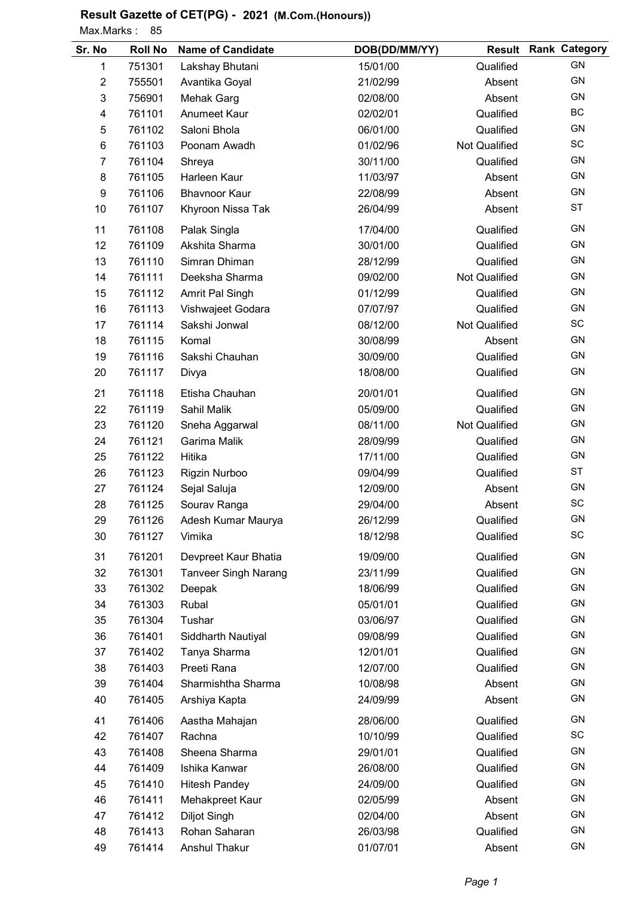Max.Marks: 85

| Sr. No         | <b>Roll No</b> | <b>Name of Candidate</b>    | DOB(DD/MM/YY) |                      | <b>Result Rank Category</b> |
|----------------|----------------|-----------------------------|---------------|----------------------|-----------------------------|
| 1              | 751301         | Lakshay Bhutani             | 15/01/00      | Qualified            | <b>GN</b>                   |
| $\overline{c}$ | 755501         | Avantika Goyal              | 21/02/99      | Absent               | <b>GN</b>                   |
| 3              | 756901         | <b>Mehak Garg</b>           | 02/08/00      | Absent               | GN                          |
| 4              | 761101         | Anumeet Kaur                | 02/02/01      | Qualified            | BC                          |
| 5              | 761102         | Saloni Bhola                | 06/01/00      | Qualified            | GN                          |
| 6              | 761103         | Poonam Awadh                | 01/02/96      | <b>Not Qualified</b> | SC                          |
| $\overline{7}$ | 761104         | Shreya                      | 30/11/00      | Qualified            | GN                          |
| 8              | 761105         | Harleen Kaur                | 11/03/97      | Absent               | GN                          |
| 9              | 761106         | <b>Bhavnoor Kaur</b>        | 22/08/99      | Absent               | GN                          |
| 10             | 761107         | Khyroon Nissa Tak           | 26/04/99      | Absent               | <b>ST</b>                   |
| 11             | 761108         | Palak Singla                | 17/04/00      | Qualified            | <b>GN</b>                   |
| 12             | 761109         | Akshita Sharma              | 30/01/00      | Qualified            | GN                          |
| 13             | 761110         | Simran Dhiman               | 28/12/99      | Qualified            | GN                          |
| 14             | 761111         | Deeksha Sharma              | 09/02/00      | <b>Not Qualified</b> | GN                          |
| 15             | 761112         | Amrit Pal Singh             | 01/12/99      | Qualified            | GN                          |
| 16             | 761113         | Vishwajeet Godara           | 07/07/97      | Qualified            | GN                          |
| 17             | 761114         | Sakshi Jonwal               | 08/12/00      | Not Qualified        | SC                          |
| 18             | 761115         | Komal                       | 30/08/99      | Absent               | <b>GN</b>                   |
| 19             | 761116         | Sakshi Chauhan              | 30/09/00      | Qualified            | GN                          |
| 20             | 761117         | Divya                       | 18/08/00      | Qualified            | GN                          |
| 21             | 761118         | Etisha Chauhan              | 20/01/01      | Qualified            | GN                          |
| 22             | 761119         | Sahil Malik                 | 05/09/00      | Qualified            | GN                          |
| 23             | 761120         | Sneha Aggarwal              | 08/11/00      | <b>Not Qualified</b> | GN                          |
| 24             | 761121         | Garima Malik                | 28/09/99      | Qualified            | GN                          |
| 25             | 761122         | Hitika                      | 17/11/00      | Qualified            | GN                          |
| 26             | 761123         | Rigzin Nurboo               | 09/04/99      | Qualified            | ST                          |
| 27             | 761124         | Sejal Saluja                | 12/09/00      | Absent               | GN                          |
| 28             | 761125         | Sourav Ranga                | 29/04/00      | Absent               | SC                          |
| 29             | 761126         | Adesh Kumar Maurya          | 26/12/99      | Qualified            | <b>GN</b>                   |
| 30             | 761127         | Vimika                      | 18/12/98      | Qualified            | SC                          |
| 31             | 761201         | Devpreet Kaur Bhatia        | 19/09/00      | Qualified            | <b>GN</b>                   |
| 32             | 761301         | <b>Tanveer Singh Narang</b> | 23/11/99      | Qualified            | GN                          |
| 33             | 761302         | Deepak                      | 18/06/99      | Qualified            | <b>GN</b>                   |
| 34             | 761303         | Rubal                       | 05/01/01      | Qualified            | GN                          |
| 35             | 761304         | Tushar                      | 03/06/97      | Qualified            | GN                          |
| 36             | 761401         | Siddharth Nautiyal          | 09/08/99      | Qualified            | GN                          |
| 37             | 761402         | Tanya Sharma                | 12/01/01      | Qualified            | GN                          |
| 38             | 761403         | Preeti Rana                 | 12/07/00      | Qualified            | GN                          |
| 39             | 761404         | Sharmishtha Sharma          | 10/08/98      | Absent               | GN                          |
| 40             | 761405         | Arshiya Kapta               | 24/09/99      | Absent               | GN                          |
| 41             | 761406         | Aastha Mahajan              | 28/06/00      | Qualified            | GN                          |
| 42             | 761407         | Rachna                      | 10/10/99      | Qualified            | SC                          |
| 43             | 761408         | Sheena Sharma               | 29/01/01      | Qualified            | GN                          |
| 44             | 761409         | Ishika Kanwar               | 26/08/00      | Qualified            | GN                          |
| 45             | 761410         | <b>Hitesh Pandey</b>        | 24/09/00      | Qualified            | GN                          |
| 46             | 761411         | Mehakpreet Kaur             | 02/05/99      | Absent               | <b>GN</b>                   |
| 47             | 761412         | <b>Diljot Singh</b>         | 02/04/00      | Absent               | GN                          |
| 48             | 761413         | Rohan Saharan               | 26/03/98      | Qualified            | GN                          |
| 49             | 761414         | Anshul Thakur               | 01/07/01      | Absent               | GN                          |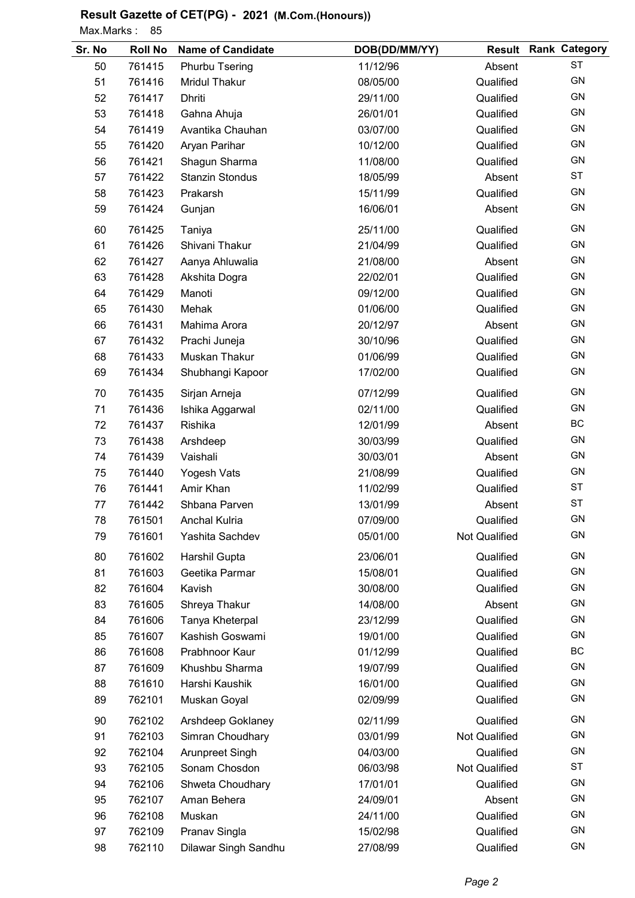Max.Marks: 85

| Sr. No | <b>Roll No</b> | <b>Name of Candidate</b> | DOB(DD/MM/YY) |                      | <b>Result Rank Category</b> |
|--------|----------------|--------------------------|---------------|----------------------|-----------------------------|
| 50     | 761415         | Phurbu Tsering           | 11/12/96      | Absent               | <b>ST</b>                   |
| 51     | 761416         | <b>Mridul Thakur</b>     | 08/05/00      | Qualified            | GN                          |
| 52     | 761417         | <b>Dhriti</b>            | 29/11/00      | Qualified            | GN                          |
| 53     | 761418         | Gahna Ahuja              | 26/01/01      | Qualified            | GN                          |
| 54     | 761419         | Avantika Chauhan         | 03/07/00      | Qualified            | GN                          |
| 55     | 761420         | Aryan Parihar            | 10/12/00      | Qualified            | GN                          |
| 56     | 761421         | Shagun Sharma            | 11/08/00      | Qualified            | GN                          |
| 57     | 761422         | <b>Stanzin Stondus</b>   | 18/05/99      | Absent               | <b>ST</b>                   |
| 58     | 761423         | Prakarsh                 | 15/11/99      | Qualified            | GN                          |
| 59     | 761424         | Gunjan                   | 16/06/01      | Absent               | GN                          |
| 60     | 761425         | Taniya                   | 25/11/00      | Qualified            | GN                          |
| 61     | 761426         | Shivani Thakur           | 21/04/99      | Qualified            | GN                          |
| 62     | 761427         | Aanya Ahluwalia          | 21/08/00      | Absent               | GN                          |
| 63     | 761428         | Akshita Dogra            | 22/02/01      | Qualified            | GN                          |
| 64     | 761429         | Manoti                   | 09/12/00      | Qualified            | GN                          |
| 65     | 761430         | Mehak                    | 01/06/00      | Qualified            | GN                          |
| 66     | 761431         | Mahima Arora             | 20/12/97      | Absent               | GN                          |
| 67     | 761432         | Prachi Juneja            | 30/10/96      | Qualified            | GN                          |
| 68     | 761433         | Muskan Thakur            | 01/06/99      | Qualified            | GN                          |
| 69     | 761434         | Shubhangi Kapoor         | 17/02/00      | Qualified            | GN                          |
| 70     | 761435         | Sirjan Arneja            | 07/12/99      | Qualified            | <b>GN</b>                   |
| 71     | 761436         | Ishika Aggarwal          | 02/11/00      | Qualified            | GN                          |
| 72     | 761437         | Rishika                  | 12/01/99      | Absent               | BC                          |
| 73     | 761438         | Arshdeep                 | 30/03/99      | Qualified            | GN                          |
| 74     | 761439         | Vaishali                 | 30/03/01      | Absent               | GN                          |
| 75     | 761440         | Yogesh Vats              | 21/08/99      | Qualified            | GN                          |
| 76     | 761441         | Amir Khan                | 11/02/99      | Qualified            | <b>ST</b>                   |
| 77     | 761442         | Shbana Parven            | 13/01/99      | Absent               | <b>ST</b>                   |
| 78     | 761501         | <b>Anchal Kulria</b>     | 07/09/00      | Qualified            | GN                          |
| 79     | 761601         | Yashita Sachdev          | 05/01/00      | Not Qualified        | GN                          |
| 80     | 761602         | Harshil Gupta            | 23/06/01      | Qualified            | <b>GN</b>                   |
| 81     | 761603         | Geetika Parmar           | 15/08/01      | Qualified            | <b>GN</b>                   |
| 82     | 761604         | Kavish                   | 30/08/00      | Qualified            | <b>GN</b>                   |
| 83     | 761605         | Shreya Thakur            | 14/08/00      | Absent               | <b>GN</b>                   |
| 84     | 761606         | Tanya Kheterpal          | 23/12/99      | Qualified            | GN                          |
| 85     | 761607         | Kashish Goswami          | 19/01/00      | Qualified            | <b>GN</b>                   |
| 86     | 761608         | Prabhnoor Kaur           | 01/12/99      | Qualified            | BC                          |
| 87     | 761609         | Khushbu Sharma           | 19/07/99      | Qualified            | GN                          |
| 88     | 761610         | Harshi Kaushik           | 16/01/00      | Qualified            | GN                          |
| 89     | 762101         | Muskan Goyal             | 02/09/99      | Qualified            | GN                          |
| 90     | 762102         | Arshdeep Goklaney        | 02/11/99      | Qualified            | <b>GN</b>                   |
| 91     | 762103         | Simran Choudhary         | 03/01/99      | <b>Not Qualified</b> | GN                          |
| 92     | 762104         | Arunpreet Singh          | 04/03/00      | Qualified            | <b>GN</b>                   |
| 93     | 762105         | Sonam Chosdon            | 06/03/98      | Not Qualified        | <b>ST</b>                   |
| 94     | 762106         | Shweta Choudhary         | 17/01/01      | Qualified            | <b>GN</b>                   |
| 95     | 762107         | Aman Behera              | 24/09/01      | Absent               | <b>GN</b>                   |
| 96     | 762108         | Muskan                   | 24/11/00      | Qualified            | GN                          |
| 97     | 762109         | Pranav Singla            | 15/02/98      | Qualified            | GN                          |
| 98     | 762110         | Dilawar Singh Sandhu     | 27/08/99      | Qualified            | GN                          |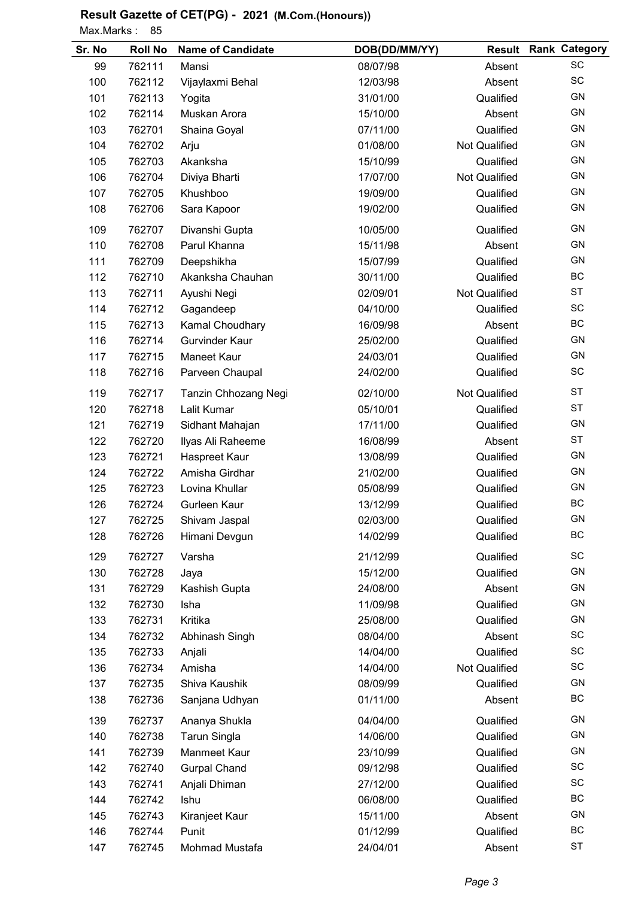Max.Marks: 85

| Sr. No | <b>Roll No</b> | <b>Name of Candidate</b> | DOB(DD/MM/YY) | <b>Result</b>        | <b>Rank Category</b> |
|--------|----------------|--------------------------|---------------|----------------------|----------------------|
| 99     | 762111         | Mansi                    | 08/07/98      | Absent               | SC                   |
| 100    | 762112         | Vijaylaxmi Behal         | 12/03/98      | Absent               | SC                   |
| 101    | 762113         | Yogita                   | 31/01/00      | Qualified            | GN                   |
| 102    | 762114         | Muskan Arora             | 15/10/00      | Absent               | <b>GN</b>            |
| 103    | 762701         | Shaina Goyal             | 07/11/00      | Qualified            | GN                   |
| 104    | 762702         | Arju                     | 01/08/00      | Not Qualified        | <b>GN</b>            |
| 105    | 762703         | Akanksha                 | 15/10/99      | Qualified            | GN                   |
| 106    | 762704         | Diviya Bharti            | 17/07/00      | <b>Not Qualified</b> | GN                   |
| 107    | 762705         | Khushboo                 | 19/09/00      | Qualified            | GN                   |
| 108    | 762706         | Sara Kapoor              | 19/02/00      | Qualified            | GN                   |
| 109    | 762707         | Divanshi Gupta           | 10/05/00      | Qualified            | GN                   |
| 110    | 762708         | Parul Khanna             | 15/11/98      | Absent               | GN                   |
| 111    | 762709         | Deepshikha               | 15/07/99      | Qualified            | GN                   |
| 112    | 762710         | Akanksha Chauhan         | 30/11/00      | Qualified            | BC                   |
| 113    | 762711         | Ayushi Negi              | 02/09/01      | <b>Not Qualified</b> | <b>ST</b>            |
| 114    | 762712         | Gagandeep                | 04/10/00      | Qualified            | SC                   |
| 115    | 762713         | Kamal Choudhary          | 16/09/98      | Absent               | BC                   |
| 116    | 762714         | <b>Gurvinder Kaur</b>    | 25/02/00      | Qualified            | GN                   |
| 117    | 762715         | <b>Maneet Kaur</b>       | 24/03/01      | Qualified            | <b>GN</b>            |
| 118    | 762716         | Parveen Chaupal          | 24/02/00      | Qualified            | SC                   |
| 119    | 762717         | Tanzin Chhozang Negi     | 02/10/00      | Not Qualified        | <b>ST</b>            |
| 120    | 762718         | Lalit Kumar              | 05/10/01      | Qualified            | <b>ST</b>            |
| 121    | 762719         | Sidhant Mahajan          | 17/11/00      | Qualified            | GN                   |
| 122    | 762720         | Ilyas Ali Raheeme        | 16/08/99      | Absent               | <b>ST</b>            |
| 123    | 762721         | Haspreet Kaur            | 13/08/99      | Qualified            | GN                   |
| 124    | 762722         | Amisha Girdhar           | 21/02/00      | Qualified            | GN                   |
| 125    | 762723         | Lovina Khullar           | 05/08/99      | Qualified            | GN                   |
| 126    | 762724         | Gurleen Kaur             | 13/12/99      | Qualified            | BC                   |
| 127    | 762725         | Shivam Jaspal            | 02/03/00      | Qualified            | GN                   |
| 128    | 762726         | Himani Devgun            | 14/02/99      | Qualified            | BC                   |
| 129    | 762727         | Varsha                   | 21/12/99      | Qualified            | SC                   |
| 130    | 762728         | Jaya                     | 15/12/00      | Qualified            | <b>GN</b>            |
| 131    | 762729         | Kashish Gupta            | 24/08/00      | Absent               | GN                   |
| 132    | 762730         | Isha                     | 11/09/98      | Qualified            | GN                   |
| 133    | 762731         | Kritika                  | 25/08/00      | Qualified            | GN                   |
| 134    | 762732         | Abhinash Singh           | 08/04/00      | Absent               | SC                   |
| 135    | 762733         | Anjali                   | 14/04/00      | Qualified            | SC                   |
| 136    | 762734         | Amisha                   | 14/04/00      | Not Qualified        | SC                   |
| 137    | 762735         | Shiva Kaushik            | 08/09/99      | Qualified            | GN                   |
| 138    | 762736         | Sanjana Udhyan           | 01/11/00      | Absent               | BC                   |
| 139    | 762737         | Ananya Shukla            | 04/04/00      | Qualified            | GN                   |
| 140    | 762738         | <b>Tarun Singla</b>      | 14/06/00      | Qualified            | GN                   |
| 141    | 762739         | Manmeet Kaur             | 23/10/99      | Qualified            | GN                   |
| 142    | 762740         | <b>Gurpal Chand</b>      | 09/12/98      | Qualified            | SC                   |
| 143    | 762741         | Anjali Dhiman            | 27/12/00      | Qualified            | SC                   |
| 144    | 762742         | Ishu                     | 06/08/00      | Qualified            | BC                   |
| 145    | 762743         | Kiranjeet Kaur           | 15/11/00      | Absent               | <b>GN</b>            |
| 146    | 762744         | Punit                    | 01/12/99      | Qualified            | BC                   |
| 147    | 762745         | Mohmad Mustafa           | 24/04/01      | Absent               | <b>ST</b>            |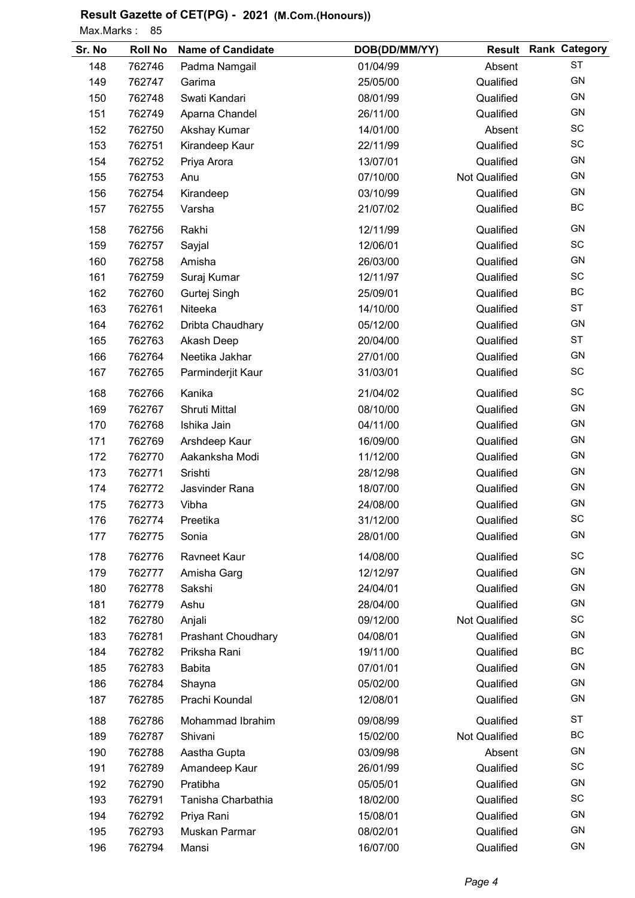Max.Marks: 85

| Sr. No | <b>Roll No</b> | <b>Name of Candidate</b>  | DOB(DD/MM/YY) |                      | <b>Result Rank Category</b> |
|--------|----------------|---------------------------|---------------|----------------------|-----------------------------|
| 148    | 762746         | Padma Namgail             | 01/04/99      | Absent               | <b>ST</b>                   |
| 149    | 762747         | Garima                    | 25/05/00      | Qualified            | <b>GN</b>                   |
| 150    | 762748         | Swati Kandari             | 08/01/99      | Qualified            | <b>GN</b>                   |
| 151    | 762749         | Aparna Chandel            | 26/11/00      | Qualified            | <b>GN</b>                   |
| 152    | 762750         | Akshay Kumar              | 14/01/00      | Absent               | <b>SC</b>                   |
| 153    | 762751         | Kirandeep Kaur            | 22/11/99      | Qualified            | SC                          |
| 154    | 762752         | Priya Arora               | 13/07/01      | Qualified            | GN                          |
| 155    | 762753         | Anu                       | 07/10/00      | <b>Not Qualified</b> | GN                          |
| 156    | 762754         | Kirandeep                 | 03/10/99      | Qualified            | GN                          |
| 157    | 762755         | Varsha                    | 21/07/02      | Qualified            | BC                          |
| 158    | 762756         | Rakhi                     | 12/11/99      | Qualified            | <b>GN</b>                   |
| 159    | 762757         | Sayjal                    | 12/06/01      | Qualified            | SC                          |
| 160    | 762758         | Amisha                    | 26/03/00      | Qualified            | GN                          |
| 161    | 762759         | Suraj Kumar               | 12/11/97      | Qualified            | SC                          |
| 162    | 762760         | Gurtej Singh              | 25/09/01      | Qualified            | BC                          |
| 163    | 762761         | Niteeka                   | 14/10/00      | Qualified            | <b>ST</b>                   |
| 164    | 762762         | Dribta Chaudhary          | 05/12/00      | Qualified            | <b>GN</b>                   |
| 165    | 762763         | Akash Deep                | 20/04/00      | Qualified            | <b>ST</b>                   |
| 166    | 762764         | Neetika Jakhar            | 27/01/00      | Qualified            | GN                          |
| 167    | 762765         | Parminderjit Kaur         | 31/03/01      | Qualified            | SC                          |
| 168    | 762766         | Kanika                    | 21/04/02      | Qualified            | <b>SC</b>                   |
| 169    | 762767         | Shruti Mittal             | 08/10/00      | Qualified            | GN                          |
| 170    | 762768         | Ishika Jain               | 04/11/00      | Qualified            | GN                          |
| 171    | 762769         | Arshdeep Kaur             | 16/09/00      | Qualified            | GN                          |
| 172    | 762770         | Aakanksha Modi            | 11/12/00      | Qualified            | GN                          |
| 173    | 762771         | Srishti                   | 28/12/98      | Qualified            | GN                          |
| 174    | 762772         | Jasvinder Rana            | 18/07/00      | Qualified            | GN                          |
| 175    | 762773         | Vibha                     | 24/08/00      | Qualified            | <b>GN</b>                   |
| 176    | 762774         | Preetika                  | 31/12/00      | Qualified            | SC                          |
| 177    | 762775         | Sonia                     | 28/01/00      | Qualified            | <b>GN</b>                   |
| 178    | 762776         | Ravneet Kaur              | 14/08/00      | Qualified            | SC                          |
| 179    | 762777         | Amisha Garg               | 12/12/97      | Qualified            | <b>GN</b>                   |
| 180    | 762778         | Sakshi                    | 24/04/01      | Qualified            | <b>GN</b>                   |
| 181    | 762779         | Ashu                      | 28/04/00      | Qualified            | <b>GN</b>                   |
| 182    | 762780         | Anjali                    | 09/12/00      | Not Qualified        | SC                          |
| 183    | 762781         | <b>Prashant Choudhary</b> | 04/08/01      | Qualified            | GN                          |
| 184    | 762782         | Priksha Rani              | 19/11/00      | Qualified            | BC                          |
| 185    | 762783         | <b>Babita</b>             | 07/01/01      | Qualified            | GN                          |
| 186    | 762784         | Shayna                    | 05/02/00      | Qualified            | GN                          |
| 187    | 762785         | Prachi Koundal            | 12/08/01      | Qualified            | GN                          |
| 188    | 762786         | Mohammad Ibrahim          | 09/08/99      | Qualified            | <b>ST</b>                   |
| 189    | 762787         | Shivani                   | 15/02/00      | Not Qualified        | BC                          |
| 190    | 762788         | Aastha Gupta              | 03/09/98      | Absent               | <b>GN</b>                   |
| 191    | 762789         | Amandeep Kaur             | 26/01/99      | Qualified            | <b>SC</b>                   |
| 192    | 762790         | Pratibha                  | 05/05/01      | Qualified            | <b>GN</b>                   |
| 193    | 762791         | Tanisha Charbathia        | 18/02/00      | Qualified            | <b>SC</b>                   |
| 194    | 762792         | Priya Rani                | 15/08/01      | Qualified            | <b>GN</b>                   |
| 195    | 762793         | Muskan Parmar             | 08/02/01      | Qualified            | <b>GN</b>                   |
| 196    | 762794         | Mansi                     | 16/07/00      | Qualified            | GN                          |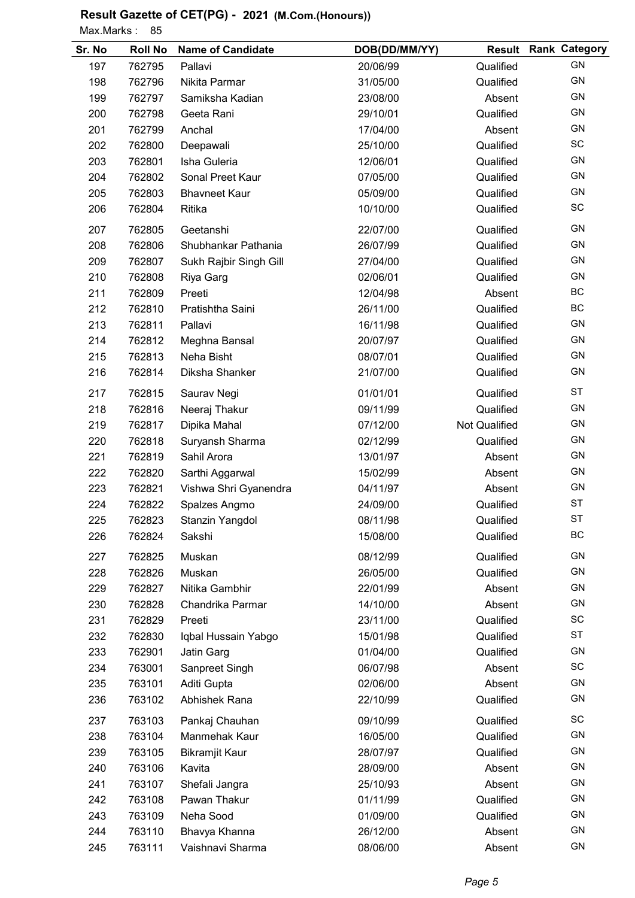Max.Marks: 85

| Sr. No | <b>Roll No</b> | <b>Name of Candidate</b> | DOB(DD/MM/YY) |                      | <b>Result Rank Category</b> |
|--------|----------------|--------------------------|---------------|----------------------|-----------------------------|
| 197    | 762795         | Pallavi                  | 20/06/99      | Qualified            | <b>GN</b>                   |
| 198    | 762796         | Nikita Parmar            | 31/05/00      | Qualified            | <b>GN</b>                   |
| 199    | 762797         | Samiksha Kadian          | 23/08/00      | Absent               | GN                          |
| 200    | 762798         | Geeta Rani               | 29/10/01      | Qualified            | <b>GN</b>                   |
| 201    | 762799         | Anchal                   | 17/04/00      | Absent               | GN                          |
| 202    | 762800         | Deepawali                | 25/10/00      | Qualified            | <b>SC</b>                   |
| 203    | 762801         | Isha Guleria             | 12/06/01      | Qualified            | GN                          |
| 204    | 762802         | Sonal Preet Kaur         | 07/05/00      | Qualified            | <b>GN</b>                   |
| 205    | 762803         | <b>Bhavneet Kaur</b>     | 05/09/00      | Qualified            | GN                          |
| 206    | 762804         | Ritika                   | 10/10/00      | Qualified            | SC                          |
| 207    | 762805         | Geetanshi                | 22/07/00      | Qualified            | GN                          |
| 208    | 762806         | Shubhankar Pathania      | 26/07/99      | Qualified            | GN                          |
| 209    | 762807         | Sukh Rajbir Singh Gill   | 27/04/00      | Qualified            | GN                          |
| 210    | 762808         | Riya Garg                | 02/06/01      | Qualified            | GN                          |
| 211    | 762809         | Preeti                   | 12/04/98      | Absent               | BC                          |
| 212    | 762810         | Pratishtha Saini         | 26/11/00      | Qualified            | BC                          |
| 213    | 762811         | Pallavi                  | 16/11/98      | Qualified            | GN                          |
| 214    | 762812         | Meghna Bansal            | 20/07/97      | Qualified            | GN                          |
| 215    | 762813         | Neha Bisht               | 08/07/01      | Qualified            | <b>GN</b>                   |
| 216    | 762814         | Diksha Shanker           | 21/07/00      | Qualified            | GN                          |
| 217    | 762815         | Saurav Negi              | 01/01/01      | Qualified            | <b>ST</b>                   |
| 218    | 762816         | Neeraj Thakur            | 09/11/99      | Qualified            | <b>GN</b>                   |
| 219    | 762817         | Dipika Mahal             | 07/12/00      | <b>Not Qualified</b> | GN                          |
| 220    | 762818         | Suryansh Sharma          | 02/12/99      | Qualified            | <b>GN</b>                   |
| 221    | 762819         | Sahil Arora              | 13/01/97      | Absent               | GN                          |
| 222    | 762820         | Sarthi Aggarwal          | 15/02/99      | Absent               | GN                          |
| 223    | 762821         | Vishwa Shri Gyanendra    | 04/11/97      | Absent               | GN                          |
| 224    | 762822         | Spalzes Angmo            | 24/09/00      | Qualified            | <b>ST</b>                   |
| 225    | 762823         | Stanzin Yangdol          | 08/11/98      | Qualified            | SТ                          |
| 226    | 762824         | Sakshi                   | 15/08/00      | Qualified            | BC                          |
| 227    | 762825         | Muskan                   | 08/12/99      | Qualified            | GN                          |
| 228    | 762826         | Muskan                   | 26/05/00      | Qualified            | GN                          |
| 229    | 762827         | Nitika Gambhir           | 22/01/99      | Absent               | GN                          |
| 230    | 762828         | Chandrika Parmar         | 14/10/00      | Absent               | <b>GN</b>                   |
| 231    | 762829         | Preeti                   | 23/11/00      | Qualified            | SC                          |
| 232    | 762830         | Iqbal Hussain Yabgo      | 15/01/98      | Qualified            | ST                          |
| 233    | 762901         | Jatin Garg               | 01/04/00      | Qualified            | GN                          |
| 234    | 763001         | Sanpreet Singh           | 06/07/98      | Absent               | SC                          |
| 235    | 763101         | Aditi Gupta              | 02/06/00      | Absent               | GN                          |
| 236    | 763102         | Abhishek Rana            | 22/10/99      | Qualified            | GN                          |
| 237    | 763103         | Pankaj Chauhan           | 09/10/99      | Qualified            | SC                          |
| 238    | 763104         | Manmehak Kaur            | 16/05/00      | Qualified            | GN                          |
| 239    | 763105         | <b>Bikramjit Kaur</b>    | 28/07/97      | Qualified            | GN                          |
| 240    | 763106         | Kavita                   | 28/09/00      | Absent               | GN                          |
| 241    | 763107         | Shefali Jangra           | 25/10/93      | Absent               | GN                          |
| 242    | 763108         | Pawan Thakur             | 01/11/99      | Qualified            | GN                          |
| 243    | 763109         | Neha Sood                | 01/09/00      | Qualified            | GN                          |
| 244    | 763110         | Bhavya Khanna            | 26/12/00      | Absent               | GN                          |
| 245    | 763111         | Vaishnavi Sharma         | 08/06/00      | Absent               | GN                          |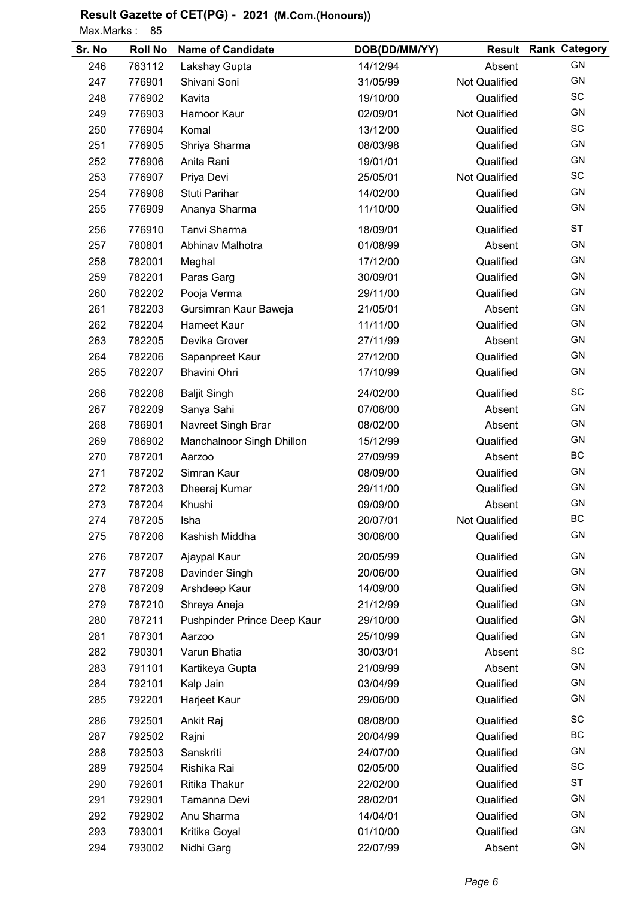Max.Marks: 85

| Sr. No | <b>Roll No</b> | <b>Name of Candidate</b>    | DOB(DD/MM/YY) |                      | <b>Result Rank Category</b> |
|--------|----------------|-----------------------------|---------------|----------------------|-----------------------------|
| 246    | 763112         | Lakshay Gupta               | 14/12/94      | Absent               | <b>GN</b>                   |
| 247    | 776901         | Shivani Soni                | 31/05/99      | Not Qualified        | GN                          |
| 248    | 776902         | Kavita                      | 19/10/00      | Qualified            | SC                          |
| 249    | 776903         | Harnoor Kaur                | 02/09/01      | <b>Not Qualified</b> | GN                          |
| 250    | 776904         | Komal                       | 13/12/00      | Qualified            | SC                          |
| 251    | 776905         | Shriya Sharma               | 08/03/98      | Qualified            | GN                          |
| 252    | 776906         | Anita Rani                  | 19/01/01      | Qualified            | GN                          |
| 253    | 776907         | Priya Devi                  | 25/05/01      | <b>Not Qualified</b> | SC                          |
| 254    | 776908         | Stuti Parihar               | 14/02/00      | Qualified            | GN                          |
| 255    | 776909         | Ananya Sharma               | 11/10/00      | Qualified            | GN                          |
| 256    | 776910         | Tanvi Sharma                | 18/09/01      | Qualified            | <b>ST</b>                   |
| 257    | 780801         | Abhinav Malhotra            | 01/08/99      | Absent               | <b>GN</b>                   |
| 258    | 782001         | Meghal                      | 17/12/00      | Qualified            | <b>GN</b>                   |
| 259    | 782201         | Paras Garg                  | 30/09/01      | Qualified            | <b>GN</b>                   |
| 260    | 782202         | Pooja Verma                 | 29/11/00      | Qualified            | <b>GN</b>                   |
| 261    | 782203         | Gursimran Kaur Baweja       | 21/05/01      | Absent               | <b>GN</b>                   |
| 262    | 782204         | <b>Harneet Kaur</b>         | 11/11/00      | Qualified            | <b>GN</b>                   |
| 263    | 782205         | Devika Grover               | 27/11/99      | Absent               | GN                          |
| 264    | 782206         | Sapanpreet Kaur             | 27/12/00      | Qualified            | GN                          |
| 265    | 782207         | <b>Bhavini Ohri</b>         | 17/10/99      | Qualified            | GN                          |
| 266    | 782208         | <b>Baljit Singh</b>         | 24/02/00      | Qualified            | SC                          |
| 267    | 782209         | Sanya Sahi                  | 07/06/00      | Absent               | GN                          |
| 268    | 786901         | Navreet Singh Brar          | 08/02/00      | Absent               | GN                          |
| 269    | 786902         | Manchalnoor Singh Dhillon   | 15/12/99      | Qualified            | <b>GN</b>                   |
| 270    | 787201         | Aarzoo                      | 27/09/99      | Absent               | BC                          |
| 271    | 787202         | Simran Kaur                 | 08/09/00      | Qualified            | <b>GN</b>                   |
| 272    | 787203         | Dheeraj Kumar               | 29/11/00      | Qualified            | <b>GN</b>                   |
| 273    | 787204         | Khushi                      | 09/09/00      | Absent               | GN                          |
| 274    | 787205         | Isha                        | 20/07/01      | <b>Not Qualified</b> | BC                          |
| 275    | 787206         | Kashish Middha              | 30/06/00      | Qualified            | GN                          |
| 276    | 787207         | Ajaypal Kaur                | 20/05/99      | Qualified            | <b>GN</b>                   |
| 277    | 787208         | Davinder Singh              | 20/06/00      | Qualified            | GN                          |
| 278    | 787209         | Arshdeep Kaur               | 14/09/00      | Qualified            | GN                          |
| 279    | 787210         | Shreya Aneja                | 21/12/99      | Qualified            | GN                          |
| 280    | 787211         | Pushpinder Prince Deep Kaur | 29/10/00      | Qualified            | GN                          |
| 281    | 787301         | Aarzoo                      | 25/10/99      | Qualified            | GN                          |
| 282    | 790301         | Varun Bhatia                | 30/03/01      | Absent               | SC                          |
| 283    | 791101         | Kartikeya Gupta             | 21/09/99      | Absent               | GN                          |
| 284    | 792101         | Kalp Jain                   | 03/04/99      | Qualified            | <b>GN</b>                   |
| 285    | 792201         | Harjeet Kaur                | 29/06/00      | Qualified            | <b>GN</b>                   |
| 286    | 792501         | Ankit Raj                   | 08/08/00      | Qualified            | SC                          |
| 287    | 792502         | Rajni                       | 20/04/99      | Qualified            | BC                          |
| 288    | 792503         | Sanskriti                   | 24/07/00      | Qualified            | GN                          |
| 289    | 792504         | Rishika Rai                 | 02/05/00      | Qualified            | SC                          |
| 290    | 792601         | Ritika Thakur               | 22/02/00      | Qualified            | <b>ST</b>                   |
| 291    | 792901         | Tamanna Devi                | 28/02/01      | Qualified            | GN                          |
| 292    | 792902         | Anu Sharma                  | 14/04/01      | Qualified            | GN                          |
| 293    | 793001         | Kritika Goyal               | 01/10/00      | Qualified            | GN                          |
| 294    | 793002         | Nidhi Garg                  | 22/07/99      | Absent               | GN                          |